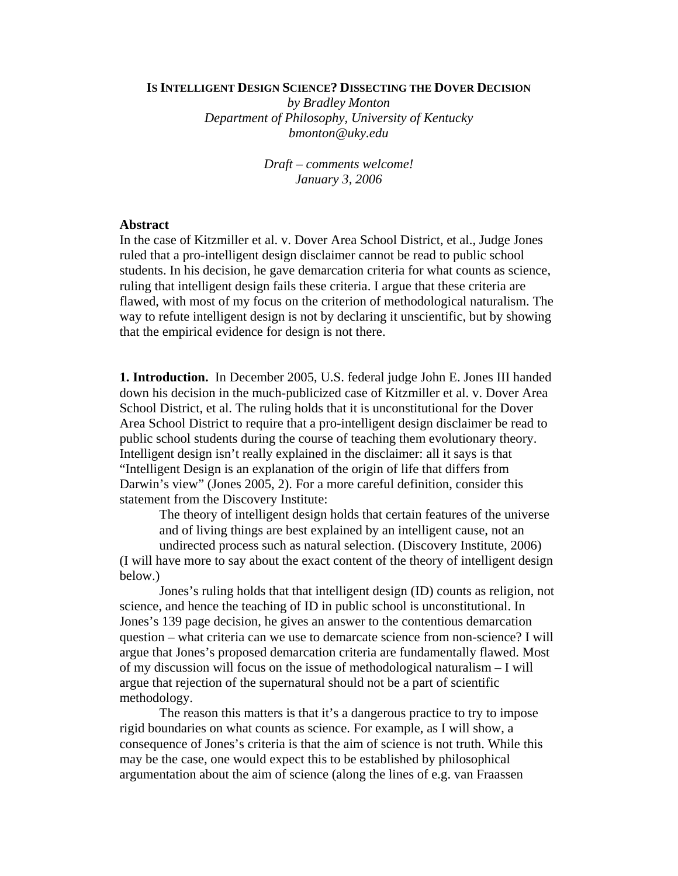## **IS INTELLIGENT DESIGN SCIENCE? DISSECTING THE DOVER DECISION**

*by Bradley Monton Department of Philosophy, University of Kentucky bmonton@uky.edu* 

> *Draft – comments welcome! January 3, 2006*

## **Abstract**

In the case of Kitzmiller et al. v. Dover Area School District, et al., Judge Jones ruled that a pro-intelligent design disclaimer cannot be read to public school students. In his decision, he gave demarcation criteria for what counts as science, ruling that intelligent design fails these criteria. I argue that these criteria are flawed, with most of my focus on the criterion of methodological naturalism. The way to refute intelligent design is not by declaring it unscientific, but by showing that the empirical evidence for design is not there.

**1. Introduction.** In December 2005, U.S. federal judge John E. Jones III handed down his decision in the much-publicized case of Kitzmiller et al. v. Dover Area School District, et al. The ruling holds that it is unconstitutional for the Dover Area School District to require that a pro-intelligent design disclaimer be read to public school students during the course of teaching them evolutionary theory. Intelligent design isn't really explained in the disclaimer: all it says is that "Intelligent Design is an explanation of the origin of life that differs from Darwin's view" (Jones 2005, 2). For a more careful definition, consider this statement from the Discovery Institute:

The theory of intelligent design holds that certain features of the universe and of living things are best explained by an intelligent cause, not an

undirected process such as natural selection. (Discovery Institute, 2006) (I will have more to say about the exact content of the theory of intelligent design below.)

Jones's ruling holds that that intelligent design (ID) counts as religion, not science, and hence the teaching of ID in public school is unconstitutional. In Jones's 139 page decision, he gives an answer to the contentious demarcation question – what criteria can we use to demarcate science from non-science? I will argue that Jones's proposed demarcation criteria are fundamentally flawed. Most of my discussion will focus on the issue of methodological naturalism – I will argue that rejection of the supernatural should not be a part of scientific methodology.

 The reason this matters is that it's a dangerous practice to try to impose rigid boundaries on what counts as science. For example, as I will show, a consequence of Jones's criteria is that the aim of science is not truth. While this may be the case, one would expect this to be established by philosophical argumentation about the aim of science (along the lines of e.g. van Fraassen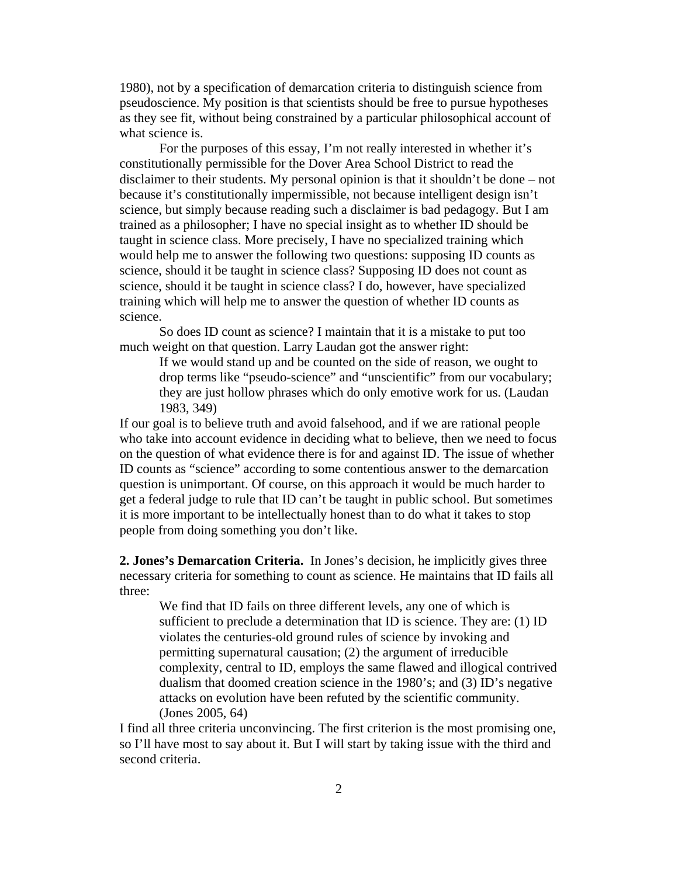1980), not by a specification of demarcation criteria to distinguish science from pseudoscience. My position is that scientists should be free to pursue hypotheses as they see fit, without being constrained by a particular philosophical account of what science is.

 For the purposes of this essay, I'm not really interested in whether it's constitutionally permissible for the Dover Area School District to read the disclaimer to their students. My personal opinion is that it shouldn't be done – not because it's constitutionally impermissible, not because intelligent design isn't science, but simply because reading such a disclaimer is bad pedagogy. But I am trained as a philosopher; I have no special insight as to whether ID should be taught in science class. More precisely, I have no specialized training which would help me to answer the following two questions: supposing ID counts as science, should it be taught in science class? Supposing ID does not count as science, should it be taught in science class? I do, however, have specialized training which will help me to answer the question of whether ID counts as science.

 So does ID count as science? I maintain that it is a mistake to put too much weight on that question. Larry Laudan got the answer right:

If we would stand up and be counted on the side of reason, we ought to drop terms like "pseudo-science" and "unscientific" from our vocabulary; they are just hollow phrases which do only emotive work for us. (Laudan 1983, 349)

If our goal is to believe truth and avoid falsehood, and if we are rational people who take into account evidence in deciding what to believe, then we need to focus on the question of what evidence there is for and against ID. The issue of whether ID counts as "science" according to some contentious answer to the demarcation question is unimportant. Of course, on this approach it would be much harder to get a federal judge to rule that ID can't be taught in public school. But sometimes it is more important to be intellectually honest than to do what it takes to stop people from doing something you don't like.

**2. Jones's Demarcation Criteria.** In Jones's decision, he implicitly gives three necessary criteria for something to count as science. He maintains that ID fails all three:

We find that ID fails on three different levels, any one of which is sufficient to preclude a determination that ID is science. They are: (1) ID violates the centuries-old ground rules of science by invoking and permitting supernatural causation; (2) the argument of irreducible complexity, central to ID, employs the same flawed and illogical contrived dualism that doomed creation science in the 1980's; and (3) ID's negative attacks on evolution have been refuted by the scientific community. (Jones 2005, 64)

I find all three criteria unconvincing. The first criterion is the most promising one, so I'll have most to say about it. But I will start by taking issue with the third and second criteria.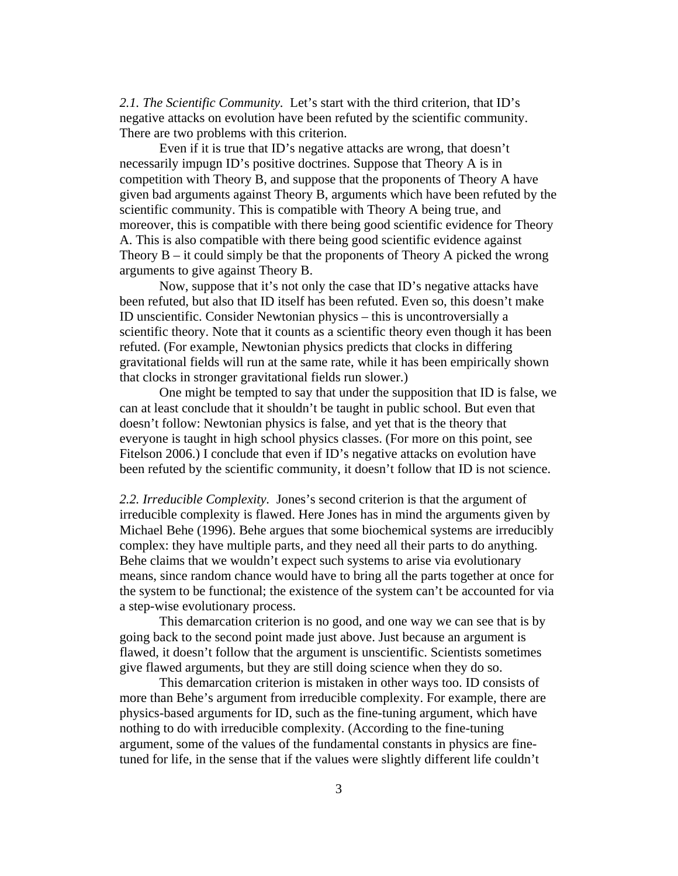*2.1. The Scientific Community.* Let's start with the third criterion, that ID's negative attacks on evolution have been refuted by the scientific community. There are two problems with this criterion.

Even if it is true that ID's negative attacks are wrong, that doesn't necessarily impugn ID's positive doctrines. Suppose that Theory A is in competition with Theory B, and suppose that the proponents of Theory A have given bad arguments against Theory B, arguments which have been refuted by the scientific community. This is compatible with Theory A being true, and moreover, this is compatible with there being good scientific evidence for Theory A. This is also compatible with there being good scientific evidence against Theory  $B - it$  could simply be that the proponents of Theory A picked the wrong arguments to give against Theory B.

Now, suppose that it's not only the case that ID's negative attacks have been refuted, but also that ID itself has been refuted. Even so, this doesn't make ID unscientific. Consider Newtonian physics – this is uncontroversially a scientific theory. Note that it counts as a scientific theory even though it has been refuted. (For example, Newtonian physics predicts that clocks in differing gravitational fields will run at the same rate, while it has been empirically shown that clocks in stronger gravitational fields run slower.)

 One might be tempted to say that under the supposition that ID is false, we can at least conclude that it shouldn't be taught in public school. But even that doesn't follow: Newtonian physics is false, and yet that is the theory that everyone is taught in high school physics classes. (For more on this point, see Fitelson 2006.) I conclude that even if ID's negative attacks on evolution have been refuted by the scientific community, it doesn't follow that ID is not science.

*2.2. Irreducible Complexity.* Jones's second criterion is that the argument of irreducible complexity is flawed. Here Jones has in mind the arguments given by Michael Behe (1996). Behe argues that some biochemical systems are irreducibly complex: they have multiple parts, and they need all their parts to do anything. Behe claims that we wouldn't expect such systems to arise via evolutionary means, since random chance would have to bring all the parts together at once for the system to be functional; the existence of the system can't be accounted for via a step-wise evolutionary process.

This demarcation criterion is no good, and one way we can see that is by going back to the second point made just above. Just because an argument is flawed, it doesn't follow that the argument is unscientific. Scientists sometimes give flawed arguments, but they are still doing science when they do so.

This demarcation criterion is mistaken in other ways too. ID consists of more than Behe's argument from irreducible complexity. For example, there are physics-based arguments for ID, such as the fine-tuning argument, which have nothing to do with irreducible complexity. (According to the fine-tuning argument, some of the values of the fundamental constants in physics are finetuned for life, in the sense that if the values were slightly different life couldn't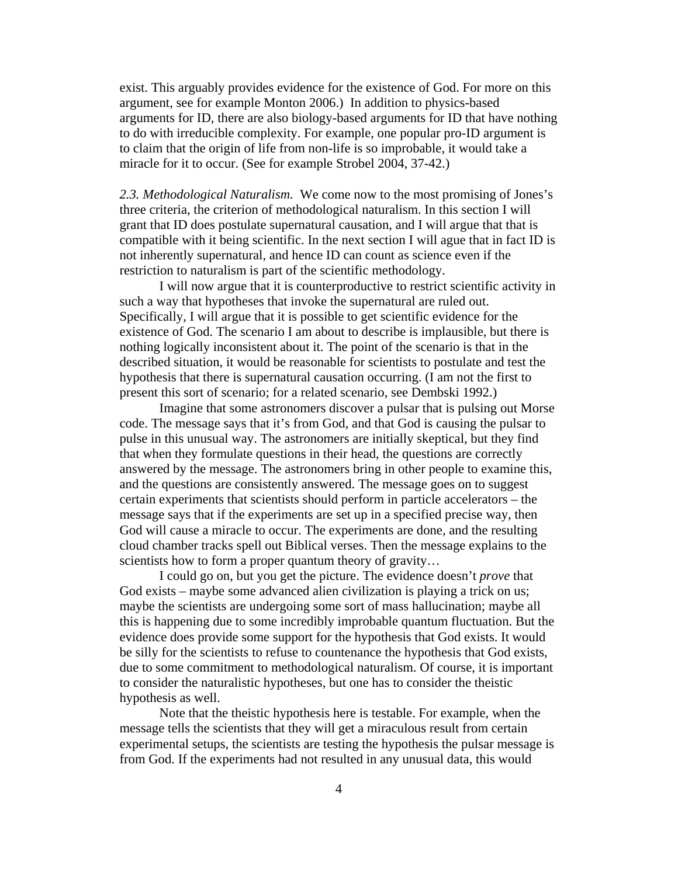exist. This arguably provides evidence for the existence of God. For more on this argument, see for example Monton 2006.) In addition to physics-based arguments for ID, there are also biology-based arguments for ID that have nothing to do with irreducible complexity. For example, one popular pro-ID argument is to claim that the origin of life from non-life is so improbable, it would take a miracle for it to occur. (See for example Strobel 2004, 37-42.)

*2.3. Methodological Naturalism.* We come now to the most promising of Jones's three criteria, the criterion of methodological naturalism. In this section I will grant that ID does postulate supernatural causation, and I will argue that that is compatible with it being scientific. In the next section I will ague that in fact ID is not inherently supernatural, and hence ID can count as science even if the restriction to naturalism is part of the scientific methodology.

 I will now argue that it is counterproductive to restrict scientific activity in such a way that hypotheses that invoke the supernatural are ruled out. Specifically, I will argue that it is possible to get scientific evidence for the existence of God. The scenario I am about to describe is implausible, but there is nothing logically inconsistent about it. The point of the scenario is that in the described situation, it would be reasonable for scientists to postulate and test the hypothesis that there is supernatural causation occurring. (I am not the first to present this sort of scenario; for a related scenario, see Dembski 1992.)

Imagine that some astronomers discover a pulsar that is pulsing out Morse code. The message says that it's from God, and that God is causing the pulsar to pulse in this unusual way. The astronomers are initially skeptical, but they find that when they formulate questions in their head, the questions are correctly answered by the message. The astronomers bring in other people to examine this, and the questions are consistently answered. The message goes on to suggest certain experiments that scientists should perform in particle accelerators – the message says that if the experiments are set up in a specified precise way, then God will cause a miracle to occur. The experiments are done, and the resulting cloud chamber tracks spell out Biblical verses. Then the message explains to the scientists how to form a proper quantum theory of gravity...

I could go on, but you get the picture. The evidence doesn't *prove* that God exists – maybe some advanced alien civilization is playing a trick on us; maybe the scientists are undergoing some sort of mass hallucination; maybe all this is happening due to some incredibly improbable quantum fluctuation. But the evidence does provide some support for the hypothesis that God exists. It would be silly for the scientists to refuse to countenance the hypothesis that God exists, due to some commitment to methodological naturalism. Of course, it is important to consider the naturalistic hypotheses, but one has to consider the theistic hypothesis as well.

Note that the theistic hypothesis here is testable. For example, when the message tells the scientists that they will get a miraculous result from certain experimental setups, the scientists are testing the hypothesis the pulsar message is from God. If the experiments had not resulted in any unusual data, this would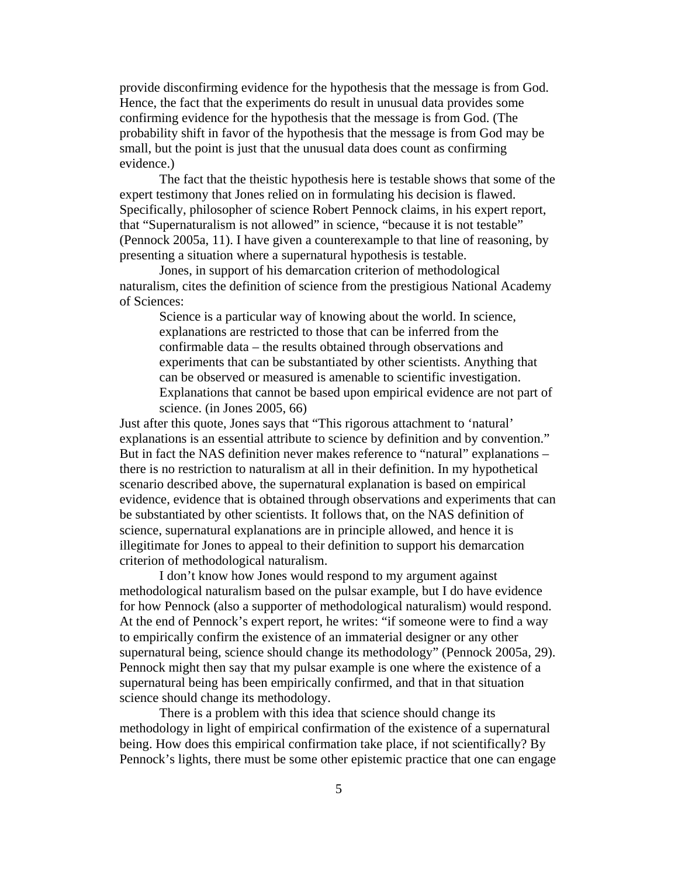provide disconfirming evidence for the hypothesis that the message is from God. Hence, the fact that the experiments do result in unusual data provides some confirming evidence for the hypothesis that the message is from God. (The probability shift in favor of the hypothesis that the message is from God may be small, but the point is just that the unusual data does count as confirming evidence.)

The fact that the theistic hypothesis here is testable shows that some of the expert testimony that Jones relied on in formulating his decision is flawed. Specifically, philosopher of science Robert Pennock claims, in his expert report, that "Supernaturalism is not allowed" in science, "because it is not testable" (Pennock 2005a, 11). I have given a counterexample to that line of reasoning, by presenting a situation where a supernatural hypothesis is testable.

Jones, in support of his demarcation criterion of methodological naturalism, cites the definition of science from the prestigious National Academy of Sciences:

Science is a particular way of knowing about the world. In science, explanations are restricted to those that can be inferred from the confirmable data – the results obtained through observations and experiments that can be substantiated by other scientists. Anything that can be observed or measured is amenable to scientific investigation. Explanations that cannot be based upon empirical evidence are not part of science. (in Jones 2005, 66)

Just after this quote, Jones says that "This rigorous attachment to 'natural' explanations is an essential attribute to science by definition and by convention." But in fact the NAS definition never makes reference to "natural" explanations – there is no restriction to naturalism at all in their definition. In my hypothetical scenario described above, the supernatural explanation is based on empirical evidence, evidence that is obtained through observations and experiments that can be substantiated by other scientists. It follows that, on the NAS definition of science, supernatural explanations are in principle allowed, and hence it is illegitimate for Jones to appeal to their definition to support his demarcation criterion of methodological naturalism.

 I don't know how Jones would respond to my argument against methodological naturalism based on the pulsar example, but I do have evidence for how Pennock (also a supporter of methodological naturalism) would respond. At the end of Pennock's expert report, he writes: "if someone were to find a way to empirically confirm the existence of an immaterial designer or any other supernatural being, science should change its methodology" (Pennock 2005a, 29). Pennock might then say that my pulsar example is one where the existence of a supernatural being has been empirically confirmed, and that in that situation science should change its methodology.

There is a problem with this idea that science should change its methodology in light of empirical confirmation of the existence of a supernatural being. How does this empirical confirmation take place, if not scientifically? By Pennock's lights, there must be some other epistemic practice that one can engage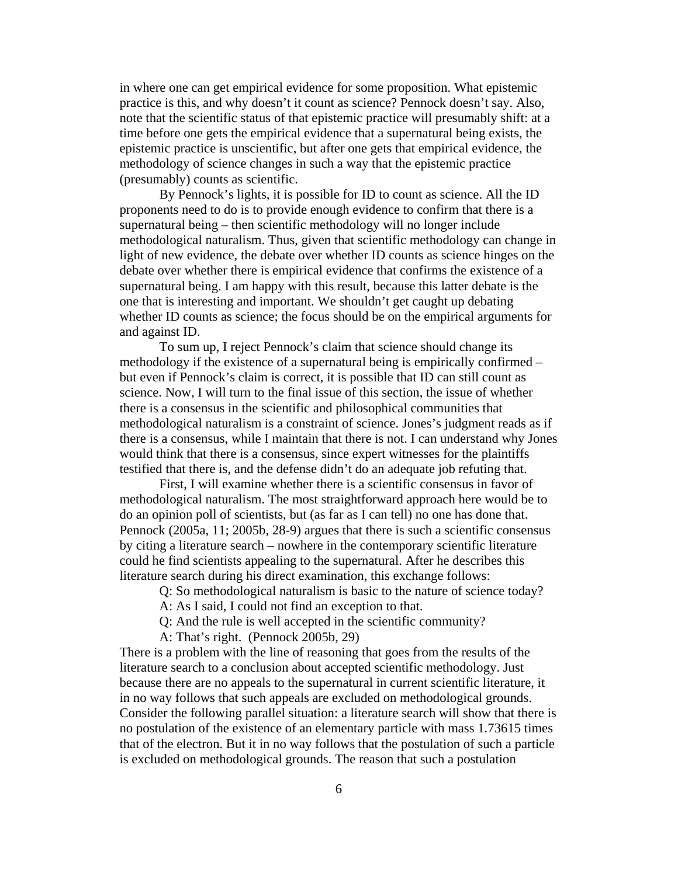in where one can get empirical evidence for some proposition. What epistemic practice is this, and why doesn't it count as science? Pennock doesn't say. Also, note that the scientific status of that epistemic practice will presumably shift: at a time before one gets the empirical evidence that a supernatural being exists, the epistemic practice is unscientific, but after one gets that empirical evidence, the methodology of science changes in such a way that the epistemic practice (presumably) counts as scientific.

 By Pennock's lights, it is possible for ID to count as science. All the ID proponents need to do is to provide enough evidence to confirm that there is a supernatural being – then scientific methodology will no longer include methodological naturalism. Thus, given that scientific methodology can change in light of new evidence, the debate over whether ID counts as science hinges on the debate over whether there is empirical evidence that confirms the existence of a supernatural being. I am happy with this result, because this latter debate is the one that is interesting and important. We shouldn't get caught up debating whether ID counts as science; the focus should be on the empirical arguments for and against ID.

 To sum up, I reject Pennock's claim that science should change its methodology if the existence of a supernatural being is empirically confirmed – but even if Pennock's claim is correct, it is possible that ID can still count as science. Now, I will turn to the final issue of this section, the issue of whether there is a consensus in the scientific and philosophical communities that methodological naturalism is a constraint of science. Jones's judgment reads as if there is a consensus, while I maintain that there is not. I can understand why Jones would think that there is a consensus, since expert witnesses for the plaintiffs testified that there is, and the defense didn't do an adequate job refuting that.

 First, I will examine whether there is a scientific consensus in favor of methodological naturalism. The most straightforward approach here would be to do an opinion poll of scientists, but (as far as I can tell) no one has done that. Pennock (2005a, 11; 2005b, 28-9) argues that there is such a scientific consensus by citing a literature search – nowhere in the contemporary scientific literature could he find scientists appealing to the supernatural. After he describes this literature search during his direct examination, this exchange follows:

Q: So methodological naturalism is basic to the nature of science today?

A: As I said, I could not find an exception to that.

Q: And the rule is well accepted in the scientific community?

A: That's right. (Pennock 2005b, 29)

There is a problem with the line of reasoning that goes from the results of the literature search to a conclusion about accepted scientific methodology. Just because there are no appeals to the supernatural in current scientific literature, it in no way follows that such appeals are excluded on methodological grounds. Consider the following parallel situation: a literature search will show that there is no postulation of the existence of an elementary particle with mass 1.73615 times that of the electron. But it in no way follows that the postulation of such a particle is excluded on methodological grounds. The reason that such a postulation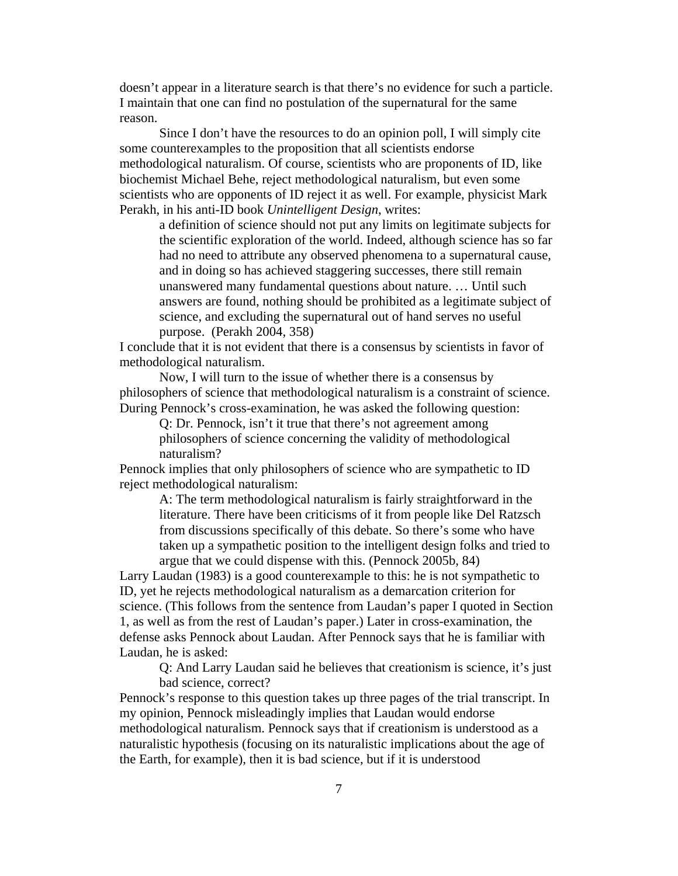doesn't appear in a literature search is that there's no evidence for such a particle. I maintain that one can find no postulation of the supernatural for the same reason.

 Since I don't have the resources to do an opinion poll, I will simply cite some counterexamples to the proposition that all scientists endorse methodological naturalism. Of course, scientists who are proponents of ID, like biochemist Michael Behe, reject methodological naturalism, but even some scientists who are opponents of ID reject it as well. For example, physicist Mark Perakh, in his anti-ID book *Unintelligent Design*, writes:

a definition of science should not put any limits on legitimate subjects for the scientific exploration of the world. Indeed, although science has so far had no need to attribute any observed phenomena to a supernatural cause, and in doing so has achieved staggering successes, there still remain unanswered many fundamental questions about nature. … Until such answers are found, nothing should be prohibited as a legitimate subject of science, and excluding the supernatural out of hand serves no useful purpose. (Perakh 2004, 358)

I conclude that it is not evident that there is a consensus by scientists in favor of methodological naturalism.

 Now, I will turn to the issue of whether there is a consensus by philosophers of science that methodological naturalism is a constraint of science. During Pennock's cross-examination, he was asked the following question:

Q: Dr. Pennock, isn't it true that there's not agreement among philosophers of science concerning the validity of methodological naturalism?

Pennock implies that only philosophers of science who are sympathetic to ID reject methodological naturalism:

A: The term methodological naturalism is fairly straightforward in the literature. There have been criticisms of it from people like Del Ratzsch from discussions specifically of this debate. So there's some who have taken up a sympathetic position to the intelligent design folks and tried to argue that we could dispense with this. (Pennock 2005b, 84)

Larry Laudan (1983) is a good counterexample to this: he is not sympathetic to ID, yet he rejects methodological naturalism as a demarcation criterion for science. (This follows from the sentence from Laudan's paper I quoted in Section 1, as well as from the rest of Laudan's paper.) Later in cross-examination, the defense asks Pennock about Laudan. After Pennock says that he is familiar with Laudan, he is asked:

Q: And Larry Laudan said he believes that creationism is science, it's just bad science, correct?

Pennock's response to this question takes up three pages of the trial transcript. In my opinion, Pennock misleadingly implies that Laudan would endorse methodological naturalism. Pennock says that if creationism is understood as a naturalistic hypothesis (focusing on its naturalistic implications about the age of the Earth, for example), then it is bad science, but if it is understood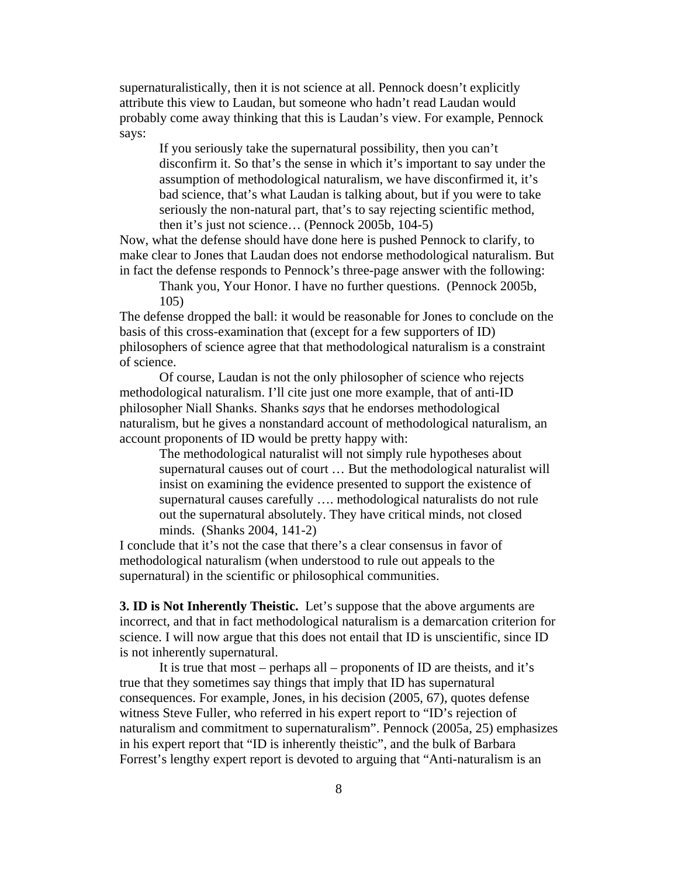supernaturalistically, then it is not science at all. Pennock doesn't explicitly attribute this view to Laudan, but someone who hadn't read Laudan would probably come away thinking that this is Laudan's view. For example, Pennock says:

If you seriously take the supernatural possibility, then you can't disconfirm it. So that's the sense in which it's important to say under the assumption of methodological naturalism, we have disconfirmed it, it's bad science, that's what Laudan is talking about, but if you were to take seriously the non-natural part, that's to say rejecting scientific method, then it's just not science… (Pennock 2005b, 104-5)

Now, what the defense should have done here is pushed Pennock to clarify, to make clear to Jones that Laudan does not endorse methodological naturalism. But in fact the defense responds to Pennock's three-page answer with the following:

Thank you, Your Honor. I have no further questions. (Pennock 2005b, 105)

The defense dropped the ball: it would be reasonable for Jones to conclude on the basis of this cross-examination that (except for a few supporters of ID) philosophers of science agree that that methodological naturalism is a constraint of science.

Of course, Laudan is not the only philosopher of science who rejects methodological naturalism. I'll cite just one more example, that of anti-ID philosopher Niall Shanks. Shanks *says* that he endorses methodological naturalism, but he gives a nonstandard account of methodological naturalism, an account proponents of ID would be pretty happy with:

The methodological naturalist will not simply rule hypotheses about supernatural causes out of court … But the methodological naturalist will insist on examining the evidence presented to support the existence of supernatural causes carefully …. methodological naturalists do not rule out the supernatural absolutely. They have critical minds, not closed minds. (Shanks 2004, 141-2)

I conclude that it's not the case that there's a clear consensus in favor of methodological naturalism (when understood to rule out appeals to the supernatural) in the scientific or philosophical communities.

**3. ID is Not Inherently Theistic.** Let's suppose that the above arguments are incorrect, and that in fact methodological naturalism is a demarcation criterion for science. I will now argue that this does not entail that ID is unscientific, since ID is not inherently supernatural.

 It is true that most – perhaps all – proponents of ID are theists, and it's true that they sometimes say things that imply that ID has supernatural consequences. For example, Jones, in his decision (2005, 67), quotes defense witness Steve Fuller, who referred in his expert report to "ID's rejection of naturalism and commitment to supernaturalism". Pennock (2005a, 25) emphasizes in his expert report that "ID is inherently theistic", and the bulk of Barbara Forrest's lengthy expert report is devoted to arguing that "Anti-naturalism is an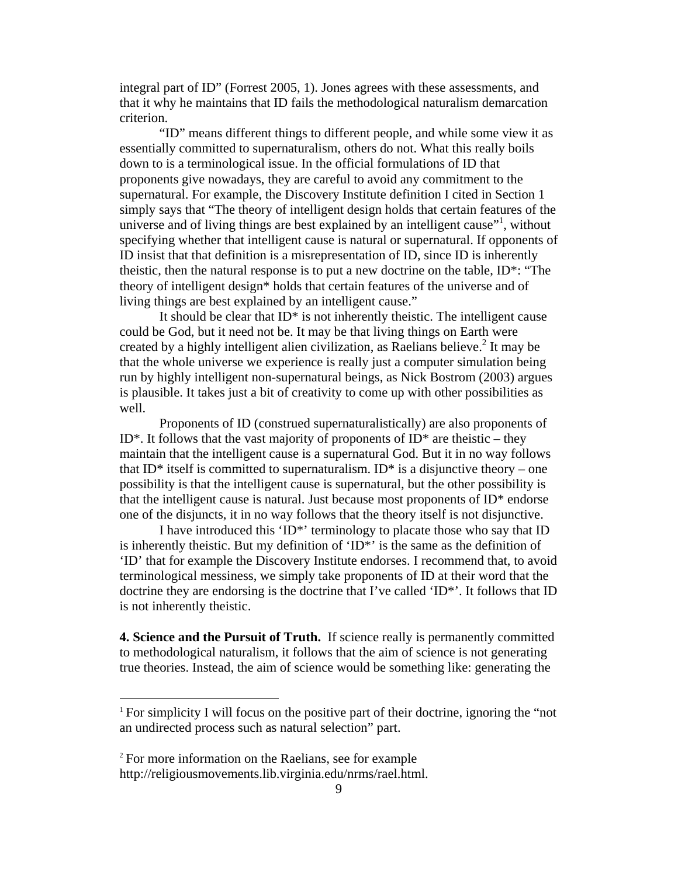integral part of ID" (Forrest 2005, 1). Jones agrees with these assessments, and that it why he maintains that ID fails the methodological naturalism demarcation criterion.

 "ID" means different things to different people, and while some view it as essentially committed to supernaturalism, others do not. What this really boils down to is a terminological issue. In the official formulations of ID that proponents give nowadays, they are careful to avoid any commitment to the supernatural. For example, the Discovery Institute definition I cited in Section 1 simply says that "The theory of intelligent design holds that certain features of the universe and of living things are best explained by an intelligent cause"<sup>1</sup>, without specifying whether that intelligent cause is natural or supernatural. If opponents of ID insist that that definition is a misrepresentation of ID, since ID is inherently theistic, then the natural response is to put a new doctrine on the table, ID\*: "The theory of intelligent design\* holds that certain features of the universe and of living things are best explained by an intelligent cause."

 It should be clear that ID\* is not inherently theistic. The intelligent cause could be God, but it need not be. It may be that living things on Earth were created by a highly intelligent alien civilization, as Raelians believe.<sup>2</sup> It may be that the whole universe we experience is really just a computer simulation being run by highly intelligent non-supernatural beings, as Nick Bostrom (2003) argues is plausible. It takes just a bit of creativity to come up with other possibilities as well.

 Proponents of ID (construed supernaturalistically) are also proponents of ID<sup>\*</sup>. It follows that the vast majority of proponents of ID<sup>\*</sup> are theistic – they maintain that the intelligent cause is a supernatural God. But it in no way follows that ID<sup>\*</sup> itself is committed to supernaturalism. ID<sup>\*</sup> is a disjunctive theory – one possibility is that the intelligent cause is supernatural, but the other possibility is that the intelligent cause is natural. Just because most proponents of  $ID^*$  endorse one of the disjuncts, it in no way follows that the theory itself is not disjunctive.

 I have introduced this 'ID\*' terminology to placate those who say that ID is inherently theistic. But my definition of 'ID\*' is the same as the definition of 'ID' that for example the Discovery Institute endorses. I recommend that, to avoid terminological messiness, we simply take proponents of ID at their word that the doctrine they are endorsing is the doctrine that I've called 'ID\*'. It follows that ID is not inherently theistic.

**4. Science and the Pursuit of Truth.** If science really is permanently committed to methodological naturalism, it follows that the aim of science is not generating true theories. Instead, the aim of science would be something like: generating the

 $\overline{a}$ 

<sup>&</sup>lt;sup>1</sup> For simplicity I will focus on the positive part of their doctrine, ignoring the "not" an undirected process such as natural selection" part.

<sup>2</sup> For more information on the Raelians, see for example http://religiousmovements.lib.virginia.edu/nrms/rael.html.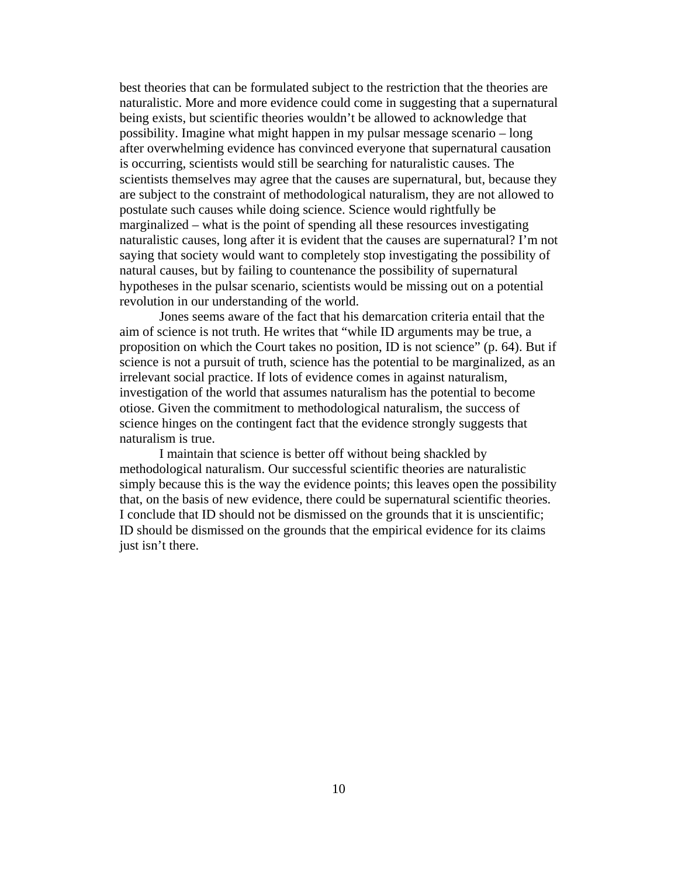best theories that can be formulated subject to the restriction that the theories are naturalistic. More and more evidence could come in suggesting that a supernatural being exists, but scientific theories wouldn't be allowed to acknowledge that possibility. Imagine what might happen in my pulsar message scenario – long after overwhelming evidence has convinced everyone that supernatural causation is occurring, scientists would still be searching for naturalistic causes. The scientists themselves may agree that the causes are supernatural, but, because they are subject to the constraint of methodological naturalism, they are not allowed to postulate such causes while doing science. Science would rightfully be marginalized – what is the point of spending all these resources investigating naturalistic causes, long after it is evident that the causes are supernatural? I'm not saying that society would want to completely stop investigating the possibility of natural causes, but by failing to countenance the possibility of supernatural hypotheses in the pulsar scenario, scientists would be missing out on a potential revolution in our understanding of the world.

 Jones seems aware of the fact that his demarcation criteria entail that the aim of science is not truth. He writes that "while ID arguments may be true, a proposition on which the Court takes no position, ID is not science" (p. 64). But if science is not a pursuit of truth, science has the potential to be marginalized, as an irrelevant social practice. If lots of evidence comes in against naturalism, investigation of the world that assumes naturalism has the potential to become otiose. Given the commitment to methodological naturalism, the success of science hinges on the contingent fact that the evidence strongly suggests that naturalism is true.

 I maintain that science is better off without being shackled by methodological naturalism. Our successful scientific theories are naturalistic simply because this is the way the evidence points; this leaves open the possibility that, on the basis of new evidence, there could be supernatural scientific theories. I conclude that ID should not be dismissed on the grounds that it is unscientific; ID should be dismissed on the grounds that the empirical evidence for its claims just isn't there.